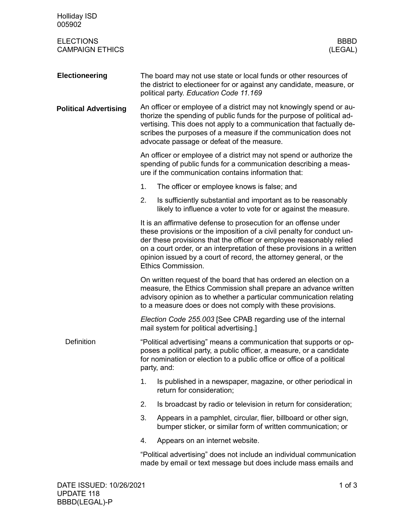| <b>Holliday ISD</b><br>005902              |                                                                                                                                                                                                                                                                                                                                                                                        |  |  |  |
|--------------------------------------------|----------------------------------------------------------------------------------------------------------------------------------------------------------------------------------------------------------------------------------------------------------------------------------------------------------------------------------------------------------------------------------------|--|--|--|
| <b>ELECTIONS</b><br><b>CAMPAIGN ETHICS</b> | <b>BBBD</b><br>(LEGAL)                                                                                                                                                                                                                                                                                                                                                                 |  |  |  |
| <b>Electioneering</b>                      | The board may not use state or local funds or other resources of<br>the district to electioneer for or against any candidate, measure, or<br>political party. Education Code 11.169                                                                                                                                                                                                    |  |  |  |
| <b>Political Advertising</b>               | An officer or employee of a district may not knowingly spend or au-<br>thorize the spending of public funds for the purpose of political ad-<br>vertising. This does not apply to a communication that factually de-<br>scribes the purposes of a measure if the communication does not<br>advocate passage or defeat of the measure.                                                  |  |  |  |
|                                            | An officer or employee of a district may not spend or authorize the<br>spending of public funds for a communication describing a meas-<br>ure if the communication contains information that:                                                                                                                                                                                          |  |  |  |
|                                            | 1.<br>The officer or employee knows is false; and                                                                                                                                                                                                                                                                                                                                      |  |  |  |
|                                            | 2.<br>Is sufficiently substantial and important as to be reasonably<br>likely to influence a voter to vote for or against the measure.                                                                                                                                                                                                                                                 |  |  |  |
|                                            | It is an affirmative defense to prosecution for an offense under<br>these provisions or the imposition of a civil penalty for conduct un-<br>der these provisions that the officer or employee reasonably relied<br>on a court order, or an interpretation of these provisions in a written<br>opinion issued by a court of record, the attorney general, or the<br>Ethics Commission. |  |  |  |
|                                            | On written request of the board that has ordered an election on a<br>measure, the Ethics Commission shall prepare an advance written<br>advisory opinion as to whether a particular communication relating<br>to a measure does or does not comply with these provisions.                                                                                                              |  |  |  |
|                                            | Election Code 255.003 [See CPAB regarding use of the internal<br>mail system for political advertising.]                                                                                                                                                                                                                                                                               |  |  |  |
| <b>Definition</b>                          | "Political advertising" means a communication that supports or op-<br>poses a political party, a public officer, a measure, or a candidate<br>for nomination or election to a public office or office of a political<br>party, and:                                                                                                                                                    |  |  |  |
|                                            | 1.<br>Is published in a newspaper, magazine, or other periodical in<br>return for consideration;                                                                                                                                                                                                                                                                                       |  |  |  |
|                                            | Is broadcast by radio or television in return for consideration;<br>2.                                                                                                                                                                                                                                                                                                                 |  |  |  |
|                                            | 3.<br>Appears in a pamphlet, circular, flier, billboard or other sign,<br>bumper sticker, or similar form of written communication; or                                                                                                                                                                                                                                                 |  |  |  |
|                                            | Appears on an internet website.<br>4.                                                                                                                                                                                                                                                                                                                                                  |  |  |  |
|                                            | "Political advertising" does not include an individual communication<br>made by email or text message but does include mass emails and                                                                                                                                                                                                                                                 |  |  |  |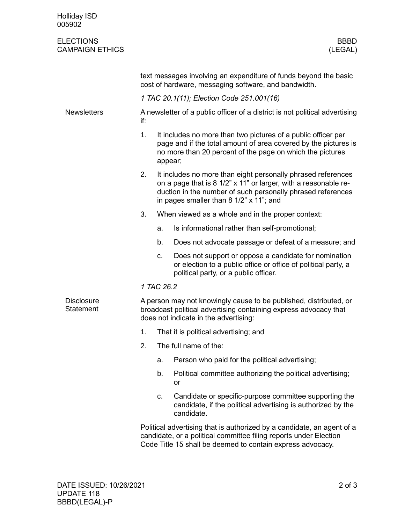| <b>Holliday ISD</b><br>005902              |                                                                                                                                                                                |                                                                                                                                                                                                                                           |                                                                                                                                                                                                           |  |  |
|--------------------------------------------|--------------------------------------------------------------------------------------------------------------------------------------------------------------------------------|-------------------------------------------------------------------------------------------------------------------------------------------------------------------------------------------------------------------------------------------|-----------------------------------------------------------------------------------------------------------------------------------------------------------------------------------------------------------|--|--|
| <b>ELECTIONS</b><br><b>CAMPAIGN ETHICS</b> |                                                                                                                                                                                |                                                                                                                                                                                                                                           | <b>BBBD</b><br>(LEGAL)                                                                                                                                                                                    |  |  |
|                                            | text messages involving an expenditure of funds beyond the basic<br>cost of hardware, messaging software, and bandwidth.                                                       |                                                                                                                                                                                                                                           |                                                                                                                                                                                                           |  |  |
|                                            | 1 TAC 20.1(11); Election Code 251.001(16)                                                                                                                                      |                                                                                                                                                                                                                                           |                                                                                                                                                                                                           |  |  |
| <b>Newsletters</b>                         | A newsletter of a public officer of a district is not political advertising<br>if:                                                                                             |                                                                                                                                                                                                                                           |                                                                                                                                                                                                           |  |  |
|                                            | 1.                                                                                                                                                                             | It includes no more than two pictures of a public officer per<br>page and if the total amount of area covered by the pictures is<br>no more than 20 percent of the page on which the pictures<br>appear;                                  |                                                                                                                                                                                                           |  |  |
|                                            | 2.                                                                                                                                                                             | It includes no more than eight personally phrased references<br>on a page that is 8 1/2" x 11" or larger, with a reasonable re-<br>duction in the number of such personally phrased references<br>in pages smaller than 8 1/2" x 11"; and |                                                                                                                                                                                                           |  |  |
|                                            | 3.                                                                                                                                                                             |                                                                                                                                                                                                                                           | When viewed as a whole and in the proper context:                                                                                                                                                         |  |  |
|                                            |                                                                                                                                                                                | a.                                                                                                                                                                                                                                        | Is informational rather than self-promotional;                                                                                                                                                            |  |  |
|                                            |                                                                                                                                                                                | b.                                                                                                                                                                                                                                        | Does not advocate passage or defeat of a measure; and                                                                                                                                                     |  |  |
|                                            |                                                                                                                                                                                | C.                                                                                                                                                                                                                                        | Does not support or oppose a candidate for nomination<br>or election to a public office or office of political party, a<br>political party, or a public officer.                                          |  |  |
|                                            | 1 TAC 26.2                                                                                                                                                                     |                                                                                                                                                                                                                                           |                                                                                                                                                                                                           |  |  |
| <b>Disclosure</b><br><b>Statement</b>      | A person may not knowingly cause to be published, distributed, or<br>broadcast political advertising containing express advocacy that<br>does not indicate in the advertising: |                                                                                                                                                                                                                                           |                                                                                                                                                                                                           |  |  |
|                                            | 1.                                                                                                                                                                             |                                                                                                                                                                                                                                           | That it is political advertising; and                                                                                                                                                                     |  |  |
|                                            | 2.                                                                                                                                                                             |                                                                                                                                                                                                                                           | The full name of the:                                                                                                                                                                                     |  |  |
|                                            |                                                                                                                                                                                | a.                                                                                                                                                                                                                                        | Person who paid for the political advertising;                                                                                                                                                            |  |  |
|                                            |                                                                                                                                                                                | b.                                                                                                                                                                                                                                        | Political committee authorizing the political advertising;<br>or                                                                                                                                          |  |  |
|                                            |                                                                                                                                                                                | C.                                                                                                                                                                                                                                        | Candidate or specific-purpose committee supporting the<br>candidate, if the political advertising is authorized by the<br>candidate.                                                                      |  |  |
|                                            |                                                                                                                                                                                |                                                                                                                                                                                                                                           | Political advertising that is authorized by a candidate, an agent of a<br>candidate, or a political committee filing reports under Election<br>Code Title 15 shall be deemed to contain express advocacy. |  |  |